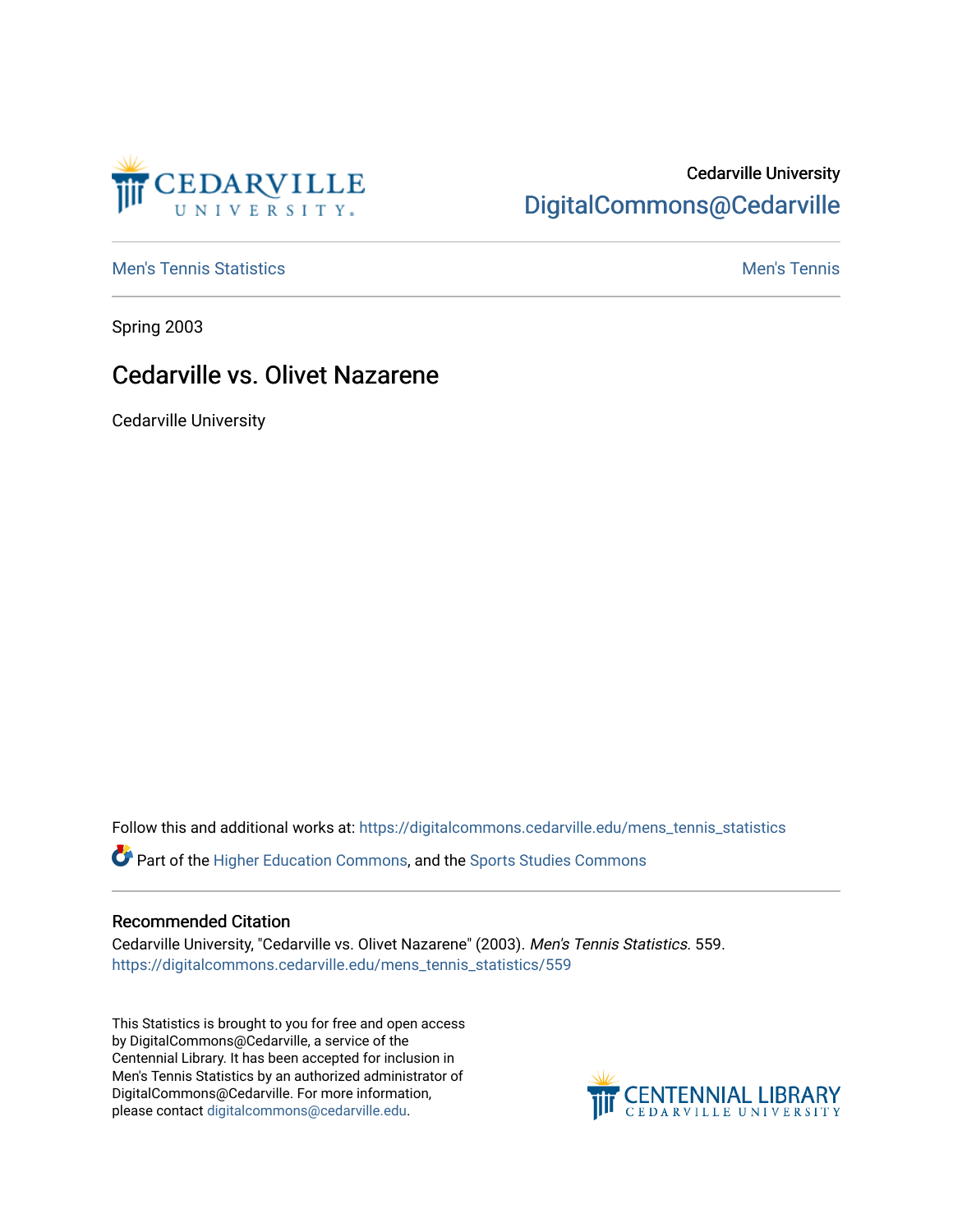

## Cedarville University [DigitalCommons@Cedarville](https://digitalcommons.cedarville.edu/)

**[Men's Tennis Statistics](https://digitalcommons.cedarville.edu/mens_tennis_statistics) Men's Tennis** Men's Tennis

Spring 2003

### Cedarville vs. Olivet Nazarene

Cedarville University

Follow this and additional works at: [https://digitalcommons.cedarville.edu/mens\\_tennis\\_statistics](https://digitalcommons.cedarville.edu/mens_tennis_statistics?utm_source=digitalcommons.cedarville.edu%2Fmens_tennis_statistics%2F559&utm_medium=PDF&utm_campaign=PDFCoverPages)

Part of the [Higher Education Commons,](http://network.bepress.com/hgg/discipline/1245?utm_source=digitalcommons.cedarville.edu%2Fmens_tennis_statistics%2F559&utm_medium=PDF&utm_campaign=PDFCoverPages) and the [Sports Studies Commons](http://network.bepress.com/hgg/discipline/1198?utm_source=digitalcommons.cedarville.edu%2Fmens_tennis_statistics%2F559&utm_medium=PDF&utm_campaign=PDFCoverPages) 

#### Recommended Citation

Cedarville University, "Cedarville vs. Olivet Nazarene" (2003). Men's Tennis Statistics. 559. [https://digitalcommons.cedarville.edu/mens\\_tennis\\_statistics/559](https://digitalcommons.cedarville.edu/mens_tennis_statistics/559?utm_source=digitalcommons.cedarville.edu%2Fmens_tennis_statistics%2F559&utm_medium=PDF&utm_campaign=PDFCoverPages) 

This Statistics is brought to you for free and open access by DigitalCommons@Cedarville, a service of the Centennial Library. It has been accepted for inclusion in Men's Tennis Statistics by an authorized administrator of DigitalCommons@Cedarville. For more information, please contact [digitalcommons@cedarville.edu](mailto:digitalcommons@cedarville.edu).